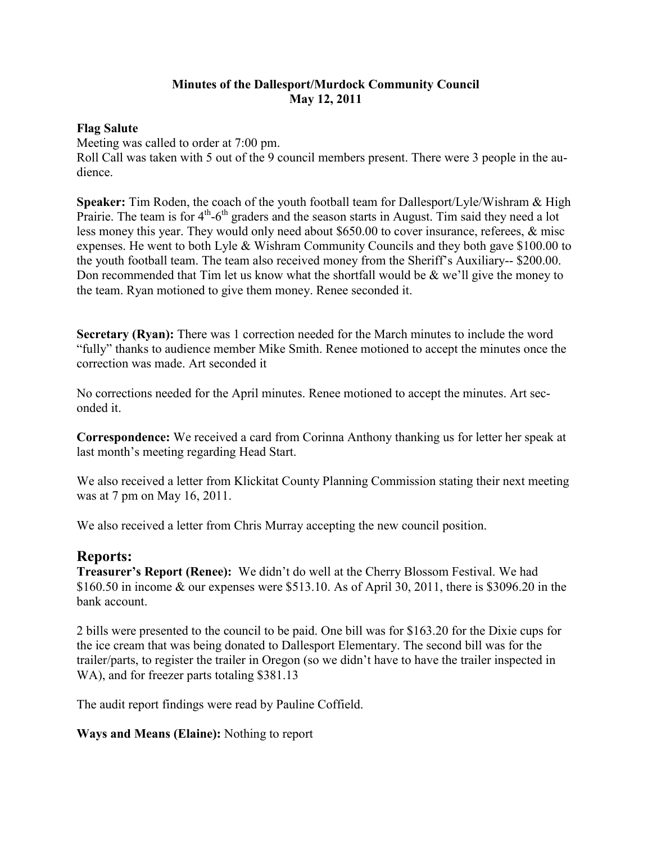## **Minutes of the Dallesport/Murdock Community Council May 12, 2011**

## **Flag Salute**

Meeting was called to order at 7:00 pm.

Roll Call was taken with 5 out of the 9 council members present. There were 3 people in the audience.

**Speaker:** Tim Roden, the coach of the youth football team for Dallesport/Lyle/Wishram & High Prairie. The team is for  $4<sup>th</sup>$ -6<sup>th</sup> graders and the season starts in August. Tim said they need a lot less money this year. They would only need about \$650.00 to cover insurance, referees, & misc expenses. He went to both Lyle & Wishram Community Councils and they both gave \$100.00 to the youth football team. The team also received money from the Sheriff's Auxiliary-- \$200.00. Don recommended that Tim let us know what the shortfall would be  $\&$  we'll give the money to the team. Ryan motioned to give them money. Renee seconded it.

**Secretary (Ryan):** There was 1 correction needed for the March minutes to include the word "fully" thanks to audience member Mike Smith. Renee motioned to accept the minutes once the correction was made. Art seconded it

No corrections needed for the April minutes. Renee motioned to accept the minutes. Art seconded it.

**Correspondence:** We received a card from Corinna Anthony thanking us for letter her speak at last month's meeting regarding Head Start.

We also received a letter from Klickitat County Planning Commission stating their next meeting was at 7 pm on May 16, 2011.

We also received a letter from Chris Murray accepting the new council position.

## **Reports:**

**Treasurer's Report (Renee):** We didn't do well at the Cherry Blossom Festival. We had \$160.50 in income & our expenses were \$513.10. As of April 30, 2011, there is \$3096.20 in the bank account.

2 bills were presented to the council to be paid. One bill was for \$163.20 for the Dixie cups for the ice cream that was being donated to Dallesport Elementary. The second bill was for the trailer/parts, to register the trailer in Oregon (so we didn't have to have the trailer inspected in WA), and for freezer parts totaling \$381.13

The audit report findings were read by Pauline Coffield.

**Ways and Means (Elaine):** Nothing to report